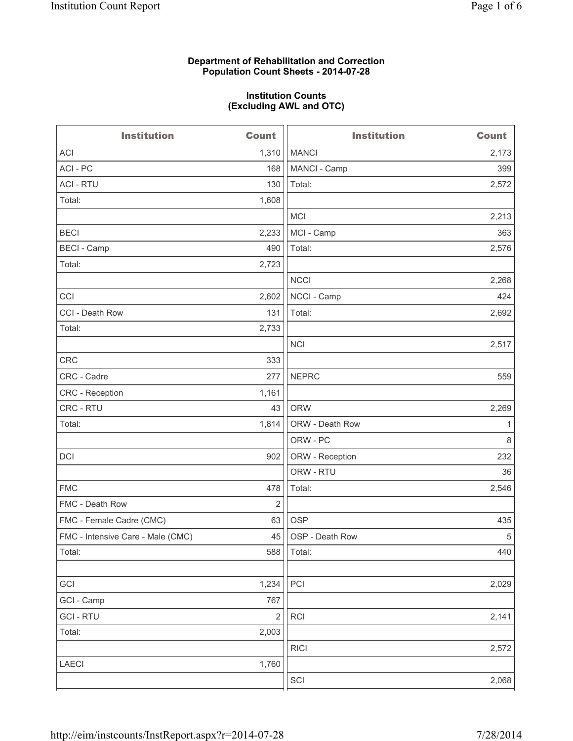#### **Department of Rehabilitation and Correction Population Count Sheets - 2014-07-28**

#### **Institution Counts (Excluding AWL and OTC)**

| <b>Institution</b>                | <b>Count</b>   | <b>Institution</b> | <b>Count</b> |
|-----------------------------------|----------------|--------------------|--------------|
| ACI                               | 1,310          | <b>MANCI</b>       | 2,173        |
| ACI - PC                          | 168            | MANCI - Camp       | 399          |
| <b>ACI - RTU</b>                  | 130            | Total:             | 2,572        |
| Total:                            | 1,608          |                    |              |
|                                   |                | <b>MCI</b>         | 2,213        |
| <b>BECI</b>                       | 2,233          | MCI - Camp         | 363          |
| <b>BECI</b> - Camp                | 490            | Total:             | 2,576        |
| Total:                            | 2,723          |                    |              |
|                                   |                | <b>NCCI</b>        | 2,268        |
| CCI                               | 2,602          | NCCI - Camp        | 424          |
| CCI - Death Row                   | 131            | Total:             | 2,692        |
| Total:                            | 2,733          |                    |              |
|                                   |                | <b>NCI</b>         | 2,517        |
| CRC                               | 333            |                    |              |
| CRC - Cadre                       | 277            | <b>NEPRC</b>       | 559          |
| <b>CRC</b> - Reception            | 1,161          |                    |              |
| CRC - RTU                         | 43             | <b>ORW</b>         | 2,269        |
| Total:                            | 1,814          | ORW - Death Row    | 1            |
|                                   |                | ORW - PC           | 8            |
| <b>DCI</b>                        | 902            | ORW - Reception    | 232          |
|                                   |                | ORW - RTU          | 36           |
| <b>FMC</b>                        | 478            | Total:             | 2,546        |
| FMC - Death Row                   | $\overline{2}$ |                    |              |
| FMC - Female Cadre (CMC)          | 63             | <b>OSP</b>         | 435          |
| FMC - Intensive Care - Male (CMC) | 45             | OSP - Death Row    | $\,$ 5 $\,$  |
| Total:                            | 588            | Total:             | 440          |
|                                   |                |                    |              |
| GCI                               | 1,234          | PCI                | 2,029        |
| GCI - Camp                        | 767            |                    |              |
| <b>GCI - RTU</b>                  | $\overline{2}$ | RCI                | 2,141        |
| Total:                            | 2,003          |                    |              |
|                                   |                | <b>RICI</b>        | 2,572        |
| LAECI                             | 1,760          |                    |              |
|                                   |                | SCI                | 2,068        |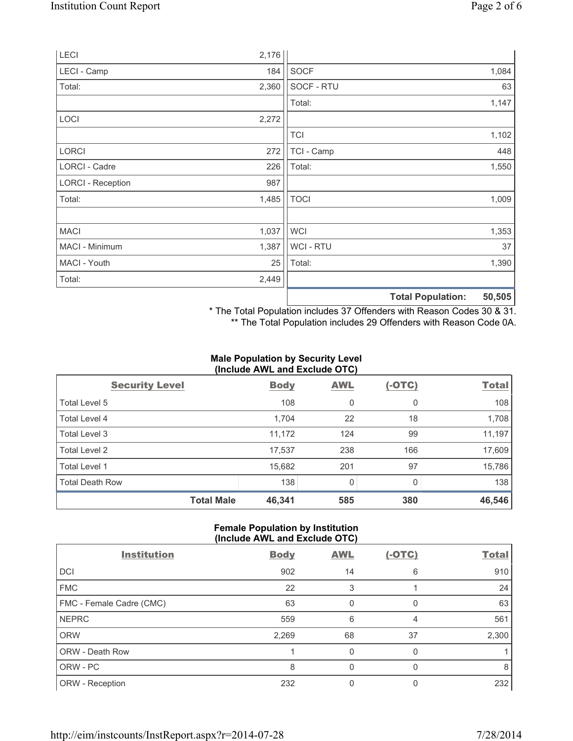| LECI                     | 2,176 |                |                                    |
|--------------------------|-------|----------------|------------------------------------|
| LECI - Camp              | 184   | <b>SOCF</b>    | 1,084                              |
| Total:                   | 2,360 | SOCF - RTU     | 63                                 |
|                          |       | Total:         | 1,147                              |
| LOCI                     | 2,272 |                |                                    |
|                          |       | <b>TCI</b>     | 1,102                              |
| <b>LORCI</b>             | 272   | TCI - Camp     | 448                                |
| LORCI - Cadre            | 226   | Total:         | 1,550                              |
| <b>LORCI - Reception</b> | 987   |                |                                    |
| Total:                   | 1,485 | <b>TOCI</b>    | 1,009                              |
|                          |       |                |                                    |
| <b>MACI</b>              | 1,037 | <b>WCI</b>     | 1,353                              |
| MACI - Minimum           | 1,387 | <b>WCI-RTU</b> | 37                                 |
| MACI - Youth             | 25    | Total:         | 1,390                              |
| Total:                   | 2,449 |                |                                    |
|                          |       |                | 50,505<br><b>Total Population:</b> |

\* The Total Population includes 37 Offenders with Reason Codes 30 & 31.

\*\* The Total Population includes 29 Offenders with Reason Code 0A.

#### **Male Population by Security Level (Include AWL and Exclude OTC)**

| <b>Security Level</b>  | <b>Body</b> | <b>AWL</b> | $(-OTC)$ | <b>Total</b> |  |  |
|------------------------|-------------|------------|----------|--------------|--|--|
| Total Level 5          | 108         | 0          | 0        | 108          |  |  |
| Total Level 4          | 1,704       | 22         | 18       | 1,708        |  |  |
| Total Level 3          | 11,172      | 124        | 99       | 11,197       |  |  |
| Total Level 2          | 17,537      | 238        | 166      | 17,609       |  |  |
| Total Level 1          | 15,682      | 201        | 97       | 15,786       |  |  |
| <b>Total Death Row</b> | 138         | 0          | 0        | 138          |  |  |
| <b>Total Male</b>      | 46,341      | 585        | 380      | 46,546       |  |  |

## **Female Population by Institution (Include AWL and Exclude OTC)**

| <b>Institution</b>       | <b>Body</b> | <b>AWL</b> | <u>(-OTC)</u> | <b>Total</b> |
|--------------------------|-------------|------------|---------------|--------------|
| DCI                      | 902         | 14         | 6             | 910          |
| <b>FMC</b>               | 22          | 3          |               | 24           |
| FMC - Female Cadre (CMC) | 63          | 0          | 0             | 63           |
| <b>NEPRC</b>             | 559         | 6          | 4             | 561          |
| <b>ORW</b>               | 2,269       | 68         | 37            | 2,300        |
| ORW - Death Row          |             | 0          | 0             |              |
| ORW - PC                 | 8           | 0          | n             | 8            |
| ORW - Reception          | 232         |            |               | 232          |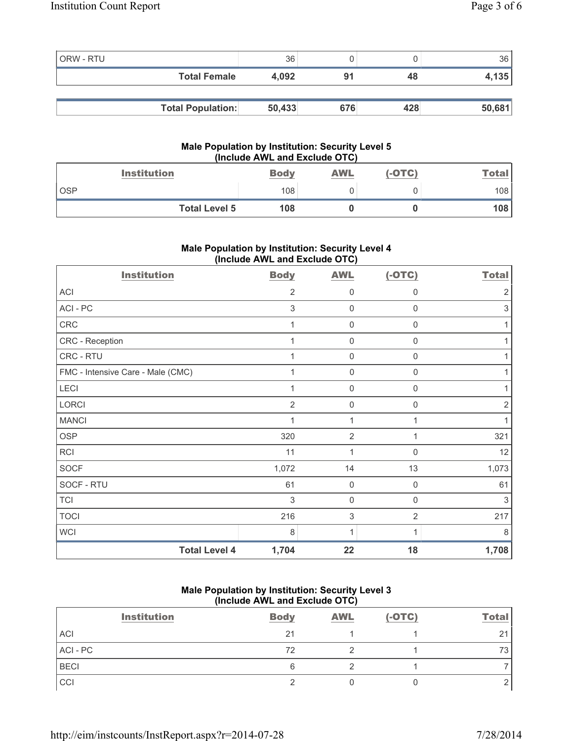| <b>ORW - RTU</b> |                          | 36     |     |     | 36     |
|------------------|--------------------------|--------|-----|-----|--------|
|                  | <b>Total Female</b>      | 4.092  | 91  | 48  | 4,135  |
|                  |                          |        |     |     |        |
|                  | <b>Total Population:</b> | 50,433 | 676 | 428 | 50,681 |

## **Male Population by Institution: Security Level 5 (Include AWL and Exclude OTC)**

| <b>Institution</b>   | <b>Body</b> | <b>AWL</b> | (-OTC) | $T$ otal i |
|----------------------|-------------|------------|--------|------------|
| <b>OSP</b>           | 108         |            |        | 108        |
| <b>Total Level 5</b> | 108         |            |        | 108        |

# **Male Population by Institution: Security Level 4 (Include AWL and Exclude OTC)**

| <b>Institution</b>                | <b>Body</b>    | <b>AWL</b>          | $(-OTC)$       | <b>Total</b> |
|-----------------------------------|----------------|---------------------|----------------|--------------|
| ACI                               | 2              | 0                   | 0              | 2            |
| ACI - PC                          | 3              | 0                   | $\Omega$       | 3            |
| CRC                               | $\mathbf 1$    | $\mathsf{O}\xspace$ | $\mathbf 0$    |              |
| CRC - Reception                   | $\overline{1}$ | $\mathsf{O}\xspace$ | $\mathbf 0$    |              |
| CRC - RTU                         | $\overline{1}$ | $\mathsf{O}\xspace$ | $\mathbf 0$    |              |
| FMC - Intensive Care - Male (CMC) | 1              | 0                   | $\mathbf 0$    |              |
| LECI                              |                | $\mathsf 0$         | 0              |              |
| LORCI                             | $\overline{2}$ | $\mathsf 0$         | $\mathbf 0$    | 2            |
| <b>MANCI</b>                      | $\mathbf 1$    | 1                   | 1              |              |
| <b>OSP</b>                        | 320            | $\overline{2}$      |                | 321          |
| RCI                               | 11             | 1                   | $\mathbf 0$    | 12           |
| SOCF                              | 1,072          | 14                  | 13             | 1,073        |
| SOCF - RTU                        | 61             | $\mathbf 0$         | $\mathbf 0$    | 61           |
| <b>TCI</b>                        | 3              | $\mathsf{O}\xspace$ | $\mathbf 0$    | 3            |
| <b>TOCI</b>                       | 216            | $\sqrt{3}$          | $\overline{2}$ | 217          |
| <b>WCI</b>                        | 8              | 1                   | 1              | 8            |
| <b>Total Level 4</b>              | 1,704          | 22                  | 18             | 1,708        |

# **Male Population by Institution: Security Level 3 (Include AWL and Exclude OTC)**

| <b>Institution</b> | <b>Body</b> | <b>AWL</b> | $(-OTC)$ | <b>Total</b> |
|--------------------|-------------|------------|----------|--------------|
| ACI                | 21          |            |          | 21           |
| ACI - PC           | 72          |            |          | 73           |
| <b>BECI</b>        |             |            |          |              |
| CCI                |             |            |          |              |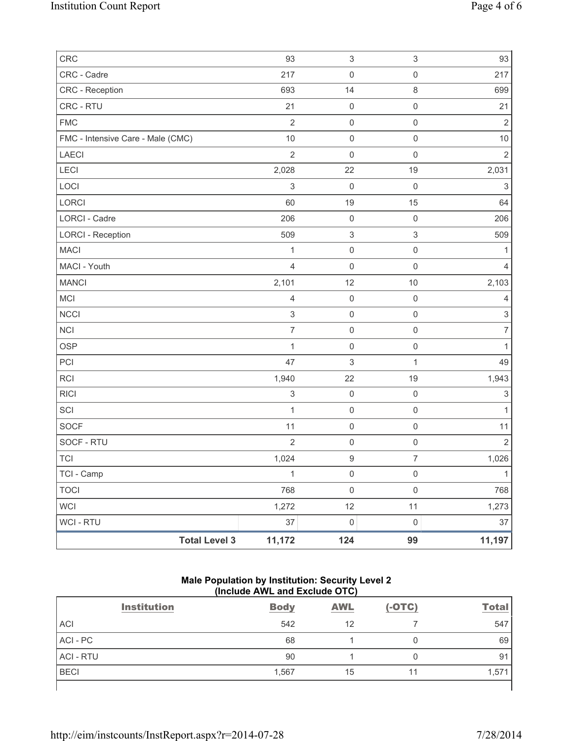| CRC                               | 93                        | $\ensuremath{\mathsf{3}}$ | $\ensuremath{\mathsf{3}}$ | 93                        |
|-----------------------------------|---------------------------|---------------------------|---------------------------|---------------------------|
| CRC - Cadre                       | 217                       | $\mathsf{O}\xspace$       | $\mathsf{O}\xspace$       | 217                       |
| CRC - Reception                   | 693                       | 14                        | 8                         | 699                       |
| CRC - RTU                         | 21                        | $\mathsf{O}\xspace$       | $\mathsf{O}\xspace$       | 21                        |
| <b>FMC</b>                        | $\overline{2}$            | $\mathsf{O}\xspace$       | $\mathsf{O}\xspace$       | $\overline{2}$            |
| FMC - Intensive Care - Male (CMC) | 10                        | $\mathsf{O}\xspace$       | $\mathsf{O}\xspace$       | 10                        |
| <b>LAECI</b>                      | $\overline{2}$            | $\mathsf{O}\xspace$       | $\mathsf 0$               | $\overline{2}$            |
| LECI                              | 2,028                     | 22                        | 19                        | 2,031                     |
| LOCI                              | $\mathsf 3$               | $\mathbf 0$               | $\mathsf 0$               | $\ensuremath{\mathsf{3}}$ |
| LORCI                             | 60                        | 19                        | 15                        | 64                        |
| LORCI - Cadre                     | 206                       | $\mathsf 0$               | $\mathsf{O}\xspace$       | 206                       |
| <b>LORCI - Reception</b>          | 509                       | $\ensuremath{\mathsf{3}}$ | $\mathsf 3$               | 509                       |
| <b>MACI</b>                       | 1                         | $\mathsf 0$               | $\mathsf{O}\xspace$       | 1                         |
| MACI - Youth                      | $\overline{4}$            | $\mathsf 0$               | $\mathsf{O}\xspace$       | $\overline{4}$            |
| <b>MANCI</b>                      | 2,101                     | 12                        | 10                        | 2,103                     |
| MCI                               | $\overline{4}$            | $\mathsf 0$               | $\mathsf 0$               | $\overline{4}$            |
| <b>NCCI</b>                       | $\sqrt{3}$                | $\mathsf{O}\xspace$       | $\mathsf{O}\xspace$       | $\ensuremath{\mathsf{3}}$ |
| NCI                               | $\overline{7}$            | $\mathsf 0$               | $\mathsf{O}\xspace$       | $\overline{7}$            |
| <b>OSP</b>                        | $\mathbf{1}$              | $\mathsf{O}\xspace$       | $\mathsf{O}\xspace$       | $\mathbf{1}$              |
| PCI                               | 47                        | $\ensuremath{\mathsf{3}}$ | 1                         | 49                        |
| <b>RCI</b>                        | 1,940                     | 22                        | 19                        | 1,943                     |
| <b>RICI</b>                       | $\ensuremath{\mathsf{3}}$ | $\mathbf 0$               | $\mathsf 0$               | $\ensuremath{\mathsf{3}}$ |
| SCI                               | $\mathbf{1}$              | $\mathsf 0$               | $\mathsf{O}\xspace$       | $\mathbf{1}$              |
| <b>SOCF</b>                       | 11                        | $\mathsf{O}\xspace$       | $\mathsf{O}\xspace$       | 11                        |
| SOCF - RTU                        | $\overline{2}$            | $\mathsf 0$               | $\mathsf{O}\xspace$       | $\overline{2}$            |
| <b>TCI</b>                        | 1,024                     | $\mathsf g$               | $\overline{7}$            | 1,026                     |
| TCI - Camp                        | $\mathbf 1$               | $\mathsf{O}\xspace$       | $\mathsf{O}\xspace$       | $\mathbf{1}$              |
| <b>TOCI</b>                       | 768                       | $\mathsf{O}\xspace$       | $\mathsf{O}\xspace$       | 768                       |
| <b>WCI</b>                        | 1,272                     | 12                        | 11                        | 1,273                     |
| WCI - RTU                         | 37                        | $\mathsf{O}\xspace$       | $\mathsf{O}\xspace$       | 37                        |
| <b>Total Level 3</b>              | 11,172                    | 124                       | 99                        | 11,197                    |

## **Male Population by Institution: Security Level 2 (Include AWL and Exclude OTC)**

|                  | \:::v:wwv / \::= w::w =/\v:wwv v : v / |             |            |          |              |
|------------------|----------------------------------------|-------------|------------|----------|--------------|
|                  | <b>Institution</b>                     | <b>Body</b> | <b>AWL</b> | $(-OTC)$ | <b>Total</b> |
| <b>ACI</b>       |                                        | 542         | 12         |          | 547          |
| ACI - PC         |                                        | 68          |            | 0        | 69           |
| <b>ACI - RTU</b> |                                        | 90          |            | 0        | 91           |
| <b>BECI</b>      |                                        | 1,567       | 15         | 11       | 1,571        |
|                  |                                        |             |            |          |              |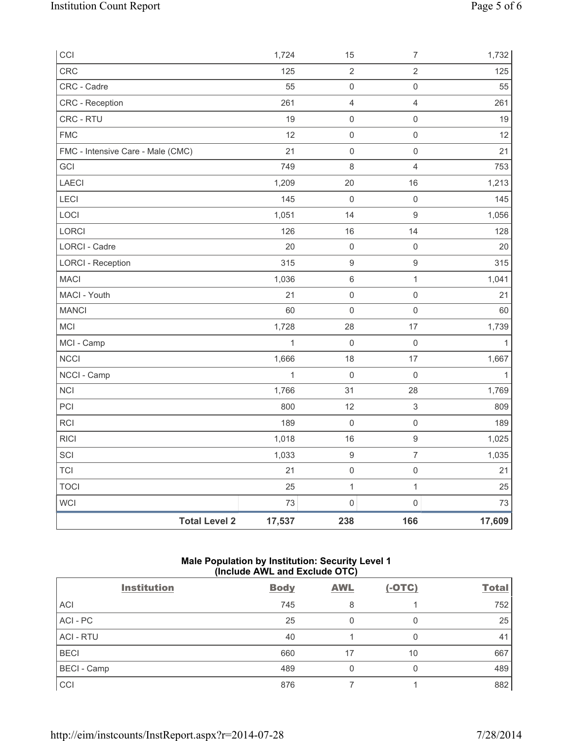| CCI                               | 1,724        | 15                  | $\overline{7}$      | 1,732        |
|-----------------------------------|--------------|---------------------|---------------------|--------------|
| CRC                               | 125          | $\overline{2}$      | $\overline{2}$      | 125          |
| CRC - Cadre                       | 55           | $\mathsf{O}\xspace$ | $\mathsf 0$         | 55           |
| CRC - Reception                   | 261          | $\overline{4}$      | $\overline{4}$      | 261          |
| CRC - RTU                         | 19           | 0                   | $\mathsf{O}\xspace$ | 19           |
| <b>FMC</b>                        | 12           | $\mathbf 0$         | $\mathsf{O}\xspace$ | 12           |
| FMC - Intensive Care - Male (CMC) | 21           | $\mathsf{O}\xspace$ | $\mathsf{O}\xspace$ | 21           |
| GCI                               | 749          | 8                   | $\overline{4}$      | 753          |
| <b>LAECI</b>                      | 1,209        | 20                  | 16                  | 1,213        |
| LECI                              | 145          | $\mathbf 0$         | $\mathsf{O}\xspace$ | 145          |
| LOCI                              | 1,051        | 14                  | $\mathsf g$         | 1,056        |
| LORCI                             | 126          | 16                  | 14                  | 128          |
| LORCI - Cadre                     | 20           | $\mathbf 0$         | $\mathsf{O}\xspace$ | 20           |
| <b>LORCI - Reception</b>          | 315          | 9                   | $\mathsf g$         | 315          |
| <b>MACI</b>                       | 1,036        | 6                   | $\mathbf{1}$        | 1,041        |
| MACI - Youth                      | 21           | $\mathsf{O}\xspace$ | $\mathsf{O}\xspace$ | 21           |
| <b>MANCI</b>                      | 60           | $\mathbf 0$         | $\mathbf 0$         | 60           |
| MCI                               | 1,728        | 28                  | 17                  | 1,739        |
| MCI - Camp                        | $\mathbf{1}$ | $\mathbf 0$         | $\mathsf{O}\xspace$ | $\mathbf{1}$ |
| <b>NCCI</b>                       | 1,666        | 18                  | 17                  | 1,667        |
| NCCI - Camp                       | $\mathbf{1}$ | $\mathbf 0$         | $\mathsf{O}\xspace$ | $\mathbf{1}$ |
| <b>NCI</b>                        | 1,766        | 31                  | 28                  | 1,769        |
| PCI                               | 800          | 12                  | $\mathsf 3$         | 809          |
| <b>RCI</b>                        | 189          | $\mathbf 0$         | $\mathsf{O}\xspace$ | 189          |
| <b>RICI</b>                       | 1,018        | 16                  | $\boldsymbol{9}$    | 1,025        |
| SCI                               | 1,033        | $\hbox{9}$          | $\boldsymbol{7}$    | 1,035        |
| <b>TCI</b>                        | 21           | $\mathsf{O}\xspace$ | $\mathsf{O}\xspace$ | 21           |
| <b>TOCI</b>                       | 25           | $\mathbf 1$         | $\mathbf{1}$        | 25           |
| <b>WCI</b>                        | 73           | $\mathsf{O}\xspace$ | $\mathsf{O}\xspace$ | 73           |
| <b>Total Level 2</b>              | 17,537       | 238                 | 166                 | 17,609       |

# **Male Population by Institution: Security Level 1 (Include AWL and Exclude OTC)**

| <b>Institution</b> | <b>Body</b> | <b>AWL</b> | $(-OTC)$ | <b>Total</b> |
|--------------------|-------------|------------|----------|--------------|
| <b>ACI</b>         | 745         | 8          |          | 752          |
| ACI - PC           | 25          | 0          |          | 25           |
| <b>ACI - RTU</b>   | 40          |            |          | 41           |
| <b>BECI</b>        | 660         | 17         | 10       | 667          |
| <b>BECI</b> - Camp | 489         | 0          |          | 489          |
| CCI                | 876         |            |          | 882          |